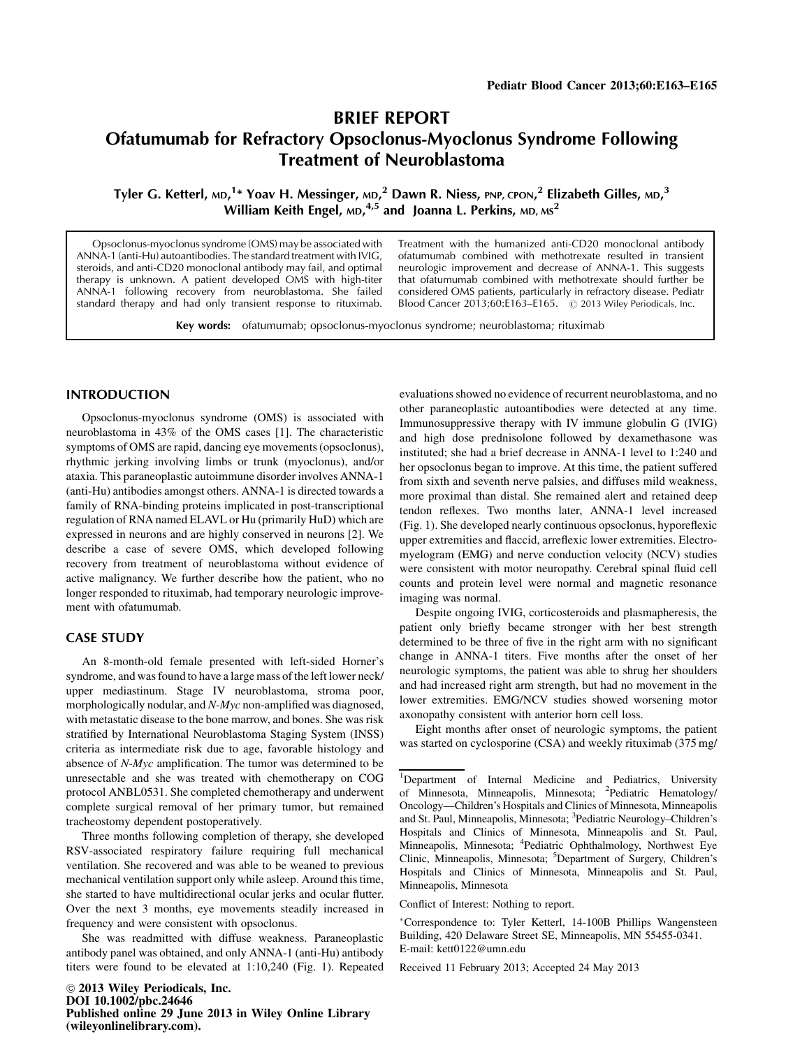# BRIEF REPORT Ofatumumab for Refractory Opsoclonus-Myoclonus Syndrome Following Treatment of Neuroblastoma

Tyler G. Ketterl, мр,<sup>1</sup>\* Yoav H. Messinger, мр,<sup>2</sup> Dawn R. Niess, PNP, cPON,<sup>2</sup> Elizabeth Gilles, мр,<sup>3</sup> William Keith Engel, <code>MD,4,5</code> and Joanna L. Perkins, <code>MD,MS $^2$ </code>

Opsoclonus-myoclonus syndrome (OMS) may be associated with ANNA-1 (anti-Hu) autoantibodies. The standard treatment with IVIG, steroids, and anti-CD20 monoclonal antibody may fail, and optimal therapy is unknown. A patient developed OMS with high-titer ANNA-1 following recovery from neuroblastoma. She failed standard therapy and had only transient response to rituximab.

Treatment with the humanized anti-CD20 monoclonal antibody ofatumumab combined with methotrexate resulted in transient neurologic improvement and decrease of ANNA-1. This suggests that ofatumumab combined with methotrexate should further be considered OMS patients, particularly in refractory disease. Pediatr Blood Cancer 2013;60:E163-E165.  $\degree$  2013 Wiley Periodicals, Inc.

Key words: ofatumumab; opsoclonus-myoclonus syndrome; neuroblastoma; rituximab

## INTRODUCTION

Opsoclonus-myoclonus syndrome (OMS) is associated with neuroblastoma in 43% of the OMS cases [1]. The characteristic symptoms of OMS are rapid, dancing eye movements (opsoclonus), rhythmic jerking involving limbs or trunk (myoclonus), and/or ataxia. This paraneoplastic autoimmune disorder involves ANNA-1 (anti-Hu) antibodies amongst others. ANNA-1 is directed towards a family of RNA-binding proteins implicated in post-transcriptional regulation of RNA named ELAVL or Hu (primarily HuD) which are expressed in neurons and are highly conserved in neurons [2]. We describe a case of severe OMS, which developed following recovery from treatment of neuroblastoma without evidence of active malignancy. We further describe how the patient, who no longer responded to rituximab, had temporary neurologic improvement with ofatumumab.

# CASE STUDY

An 8-month-old female presented with left-sided Horner's syndrome, and was found to have a large mass of the left lower neck/ upper mediastinum. Stage IV neuroblastoma, stroma poor, morphologically nodular, and N-Myc non-amplified was diagnosed, with metastatic disease to the bone marrow, and bones. She was risk stratified by International Neuroblastoma Staging System (INSS) criteria as intermediate risk due to age, favorable histology and absence of N-Myc amplification. The tumor was determined to be unresectable and she was treated with chemotherapy on COG protocol ANBL0531. She completed chemotherapy and underwent complete surgical removal of her primary tumor, but remained tracheostomy dependent postoperatively.

Three months following completion of therapy, she developed RSV-associated respiratory failure requiring full mechanical ventilation. She recovered and was able to be weaned to previous mechanical ventilation support only while asleep. Around this time, she started to have multidirectional ocular jerks and ocular flutter. Over the next 3 months, eye movements steadily increased in frequency and were consistent with opsoclonus.

She was readmitted with diffuse weakness. Paraneoplastic antibody panel was obtained, and only ANNA-1 (anti-Hu) antibody titers were found to be elevated at 1:10,240 (Fig. 1). Repeated evaluations showed no evidence of recurrent neuroblastoma, and no other paraneoplastic autoantibodies were detected at any time. Immunosuppressive therapy with IV immune globulin G (IVIG) and high dose prednisolone followed by dexamethasone was instituted; she had a brief decrease in ANNA-1 level to 1:240 and her opsoclonus began to improve. At this time, the patient suffered from sixth and seventh nerve palsies, and diffuses mild weakness, more proximal than distal. She remained alert and retained deep tendon reflexes. Two months later, ANNA-1 level increased (Fig. 1). She developed nearly continuous opsoclonus, hyporeflexic upper extremities and flaccid, arreflexic lower extremities. Electromyelogram (EMG) and nerve conduction velocity (NCV) studies were consistent with motor neuropathy. Cerebral spinal fluid cell counts and protein level were normal and magnetic resonance imaging was normal.

Despite ongoing IVIG, corticosteroids and plasmapheresis, the patient only briefly became stronger with her best strength determined to be three of five in the right arm with no significant change in ANNA-1 titers. Five months after the onset of her neurologic symptoms, the patient was able to shrug her shoulders and had increased right arm strength, but had no movement in the lower extremities. EMG/NCV studies showed worsening motor axonopathy consistent with anterior horn cell loss.

Eight months after onset of neurologic symptoms, the patient was started on cyclosporine (CSA) and weekly rituximab (375 mg/

Conflict of Interest: Nothing to report.

Correspondence to: Tyler Ketterl, 14-100B Phillips Wangensteen Building, 420 Delaware Street SE, Minneapolis, MN 55455-0341. E-mail: kett0122@umn.edu

Received 11 February 2013; Accepted 24 May 2013

<sup>&</sup>lt;sup>1</sup>Department of Internal Medicine and Pediatrics, University of Minnesota, Minneapolis, Minnesota; <sup>2</sup>Pediatric Hematology/ Oncology—Children's Hospitals and Clinics of Minnesota, Minneapolis and St. Paul, Minneapolis, Minnesota; <sup>3</sup>Pediatric Neurology-Children's Hospitals and Clinics of Minnesota, Minneapolis and St. Paul, Minneapolis, Minnesota; <sup>4</sup>Pediatric Ophthalmology, Northwest Eye Clinic, Minneapolis, Minnesota; <sup>5</sup>Department of Surgery, Children's Hospitals and Clinics of Minnesota, Minneapolis and St. Paul, Minneapolis, Minnesota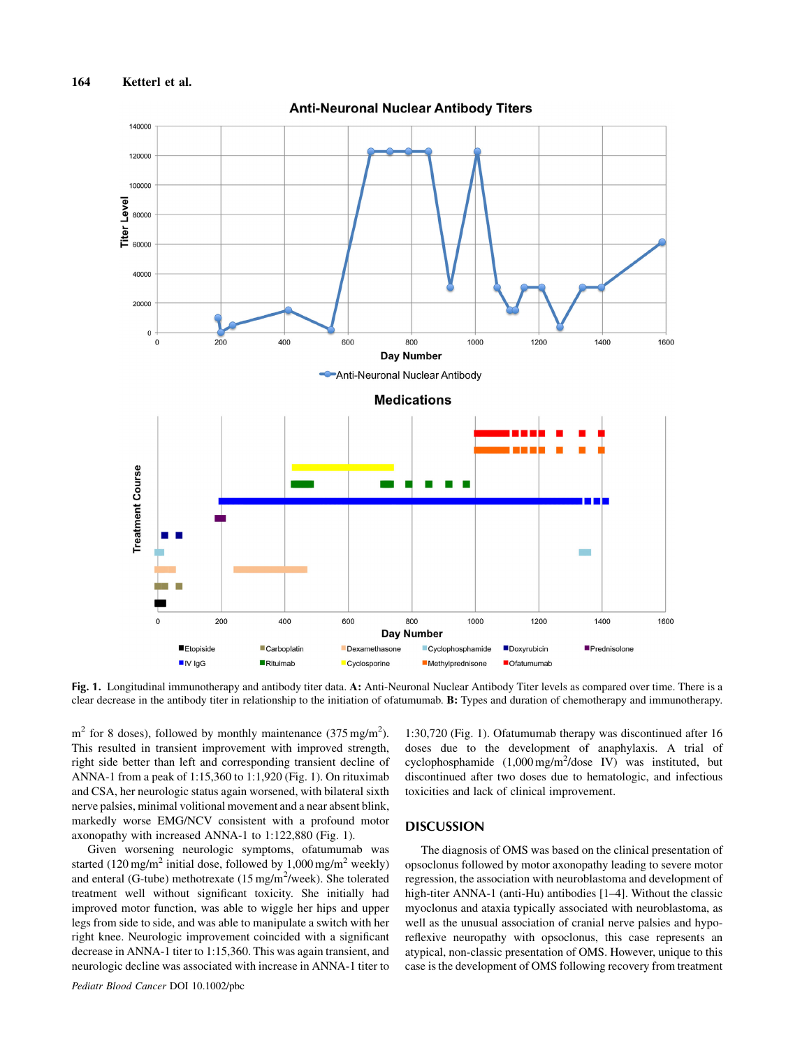

Fig. 1. Longitudinal immunotherapy and antibody titer data. A: Anti-Neuronal Nuclear Antibody Titer levels as compared over time. There is a clear decrease in the antibody titer in relationship to the initiation of ofatumumab. B: Types and duration of chemotherapy and immunotherapy.

 $m<sup>2</sup>$  for 8 doses), followed by monthly maintenance (375 mg/m<sup>2</sup>). This resulted in transient improvement with improved strength, right side better than left and corresponding transient decline of ANNA-1 from a peak of 1:15,360 to 1:1,920 (Fig. 1). On rituximab and CSA, her neurologic status again worsened, with bilateral sixth nerve palsies, minimal volitional movement and a near absent blink, markedly worse EMG/NCV consistent with a profound motor axonopathy with increased ANNA-1 to 1:122,880 (Fig. 1).

Given worsening neurologic symptoms, ofatumumab was started (120 mg/m<sup>2</sup> initial dose, followed by 1,000 mg/m<sup>2</sup> weekly) and enteral (G-tube) methotrexate (15 mg/m<sup>2</sup>/week). She tolerated treatment well without significant toxicity. She initially had improved motor function, was able to wiggle her hips and upper legs from side to side, and was able to manipulate a switch with her right knee. Neurologic improvement coincided with a significant decrease in ANNA-1 titer to 1:15,360. This was again transient, and neurologic decline was associated with increase in ANNA-1 titer to

1:30,720 (Fig. 1). Ofatumumab therapy was discontinued after 16 doses due to the development of anaphylaxis. A trial of cyclophosphamide (1,000 mg/m<sup>2</sup>/dose IV) was instituted, but discontinued after two doses due to hematologic, and infectious toxicities and lack of clinical improvement.

# **DISCUSSION**

The diagnosis of OMS was based on the clinical presentation of opsoclonus followed by motor axonopathy leading to severe motor regression, the association with neuroblastoma and development of high-titer ANNA-1 (anti-Hu) antibodies [1–4]. Without the classic myoclonus and ataxia typically associated with neuroblastoma, as well as the unusual association of cranial nerve palsies and hyporeflexive neuropathy with opsoclonus, this case represents an atypical, non-classic presentation of OMS. However, unique to this case is the development of OMS following recovery from treatment